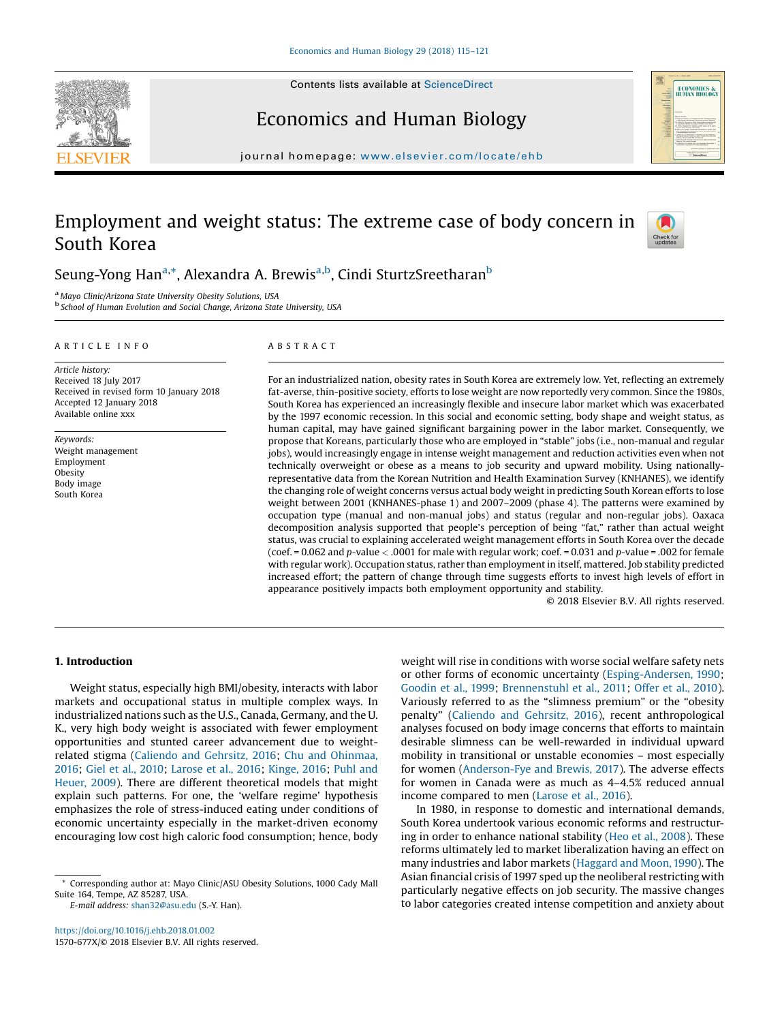

Economics and Human Biology

journal homepage: <www.elsevier.com/locate/ehb>b  $\sim$ 

# Employment and weight status: The extreme case of body concern in South Korea



# Seung-Yong Han<sup>a,</sup>\*, Alexandra A. Brewis<sup>a,b</sup>, Cindi SturtzSreetharan<sup>b</sup>

<sup>a</sup> Mayo Clinic/Arizona State University Obesity Solutions, USA<br><sup>b</sup> School of Human Evolution and Social Change, Arizona State University, USA

#### A R T I C L E I N F O

Article history: Received 18 July 2017 Received in revised form 10 January 2018 Accepted 12 January 2018 Available online xxx

Keywords: Weight management Employment **Obesity** Body image South Korea

## A B S T R A C T

For an industrialized nation, obesity rates in South Korea are extremely low. Yet, reflecting an extremely fat-averse, thin-positive society, efforts to lose weight are now reportedly very common. Since the 1980s, South Korea has experienced an increasingly flexible and insecure labor market which was exacerbated by the 1997 economic recession. In this social and economic setting, body shape and weight status, as human capital, may have gained significant bargaining power in the labor market. Consequently, we propose that Koreans, particularly those who are employed in "stable" jobs (i.e., non-manual and regular jobs), would increasingly engage in intense weight management and reduction activities even when not technically overweight or obese as a means to job security and upward mobility. Using nationallyrepresentative data from the Korean Nutrition and Health Examination Survey (KNHANES), we identify the changing role of weight concerns versus actual body weight in predicting South Korean efforts to lose weight between 2001 (KNHANES-phase 1) and 2007–2009 (phase 4). The patterns were examined by occupation type (manual and non-manual jobs) and status (regular and non-regular jobs). Oaxaca decomposition analysis supported that people's perception of being "fat," rather than actual weight status, was crucial to explaining accelerated weight management efforts in South Korea over the decade (coef. = 0.062 and p-value < .0001 for male with regular work; coef. = 0.031 and p-value = .002 for female with regular work). Occupation status, rather than employment in itself, mattered. Job stability predicted increased effort; the pattern of change through time suggests efforts to invest high levels of effort in appearance positively impacts both employment opportunity and stability.

© 2018 Elsevier B.V. All rights reserved.

# 1. Introduction

Weight status, especially high BMI/obesity, interacts with labor markets and occupational status in multiple complex ways. In industrialized nations such as the U.S., Canada, Germany, and the U. K., very high body weight is associated with fewer employment opportunities and stunted career advancement due to weightrelated stigma (Caliendo and Gehrsitz, 2016; Chu and Ohinmaa, 2016; Giel et al., 2010; Larose et al., 2016; Kinge, 2016; Puhl and Heuer, 2009). There are different theoretical models that might explain such patterns. For one, the 'welfare regime' hypothesis emphasizes the role of stress-induced eating under conditions of economic uncertainty especially in the market-driven economy encouraging low cost high caloric food consumption; hence, body

E-mail address: [shan32@asu.edu](mailto:shan32@asu.edu) (S.-Y. Han).

<https://doi.org/10.1016/j.ehb.2018.01.002> 1570-677X/© 2018 Elsevier B.V. All rights reserved. weight will rise in conditions with worse social welfare safety nets or other forms of economic uncertainty (Esping-Andersen, 1990; Goodin et al., 1999; Brennenstuhl et al., 2011; Offer et al., 2010). Variously referred to as the "slimness premium" or the "obesity penalty" (Caliendo and Gehrsitz, 2016), recent anthropological analyses focused on body image concerns that efforts to maintain desirable slimness can be well-rewarded in individual upward mobility in transitional or unstable economies – most especially for women (Anderson-Fye and Brewis, 2017). The adverse effects for women in Canada were as much as 4–4.5% reduced annual income compared to men (Larose et al., 2016).

In 1980, in response to domestic and international demands, South Korea undertook various economic reforms and restructuring in order to enhance national stability (Heo et al., 2008). These reforms ultimately led to market liberalization having an effect on many industries and labor markets (Haggard and Moon,1990). The Asian financial crisis of 1997 sped up the neoliberal restricting with particularly negative effects on job security. The massive changes to labor categories created intense competition and anxiety about

Corresponding author at: Mayo Clinic/ASU Obesity Solutions, 1000 Cady Mall Suite 164, Tempe, AZ 85287, USA.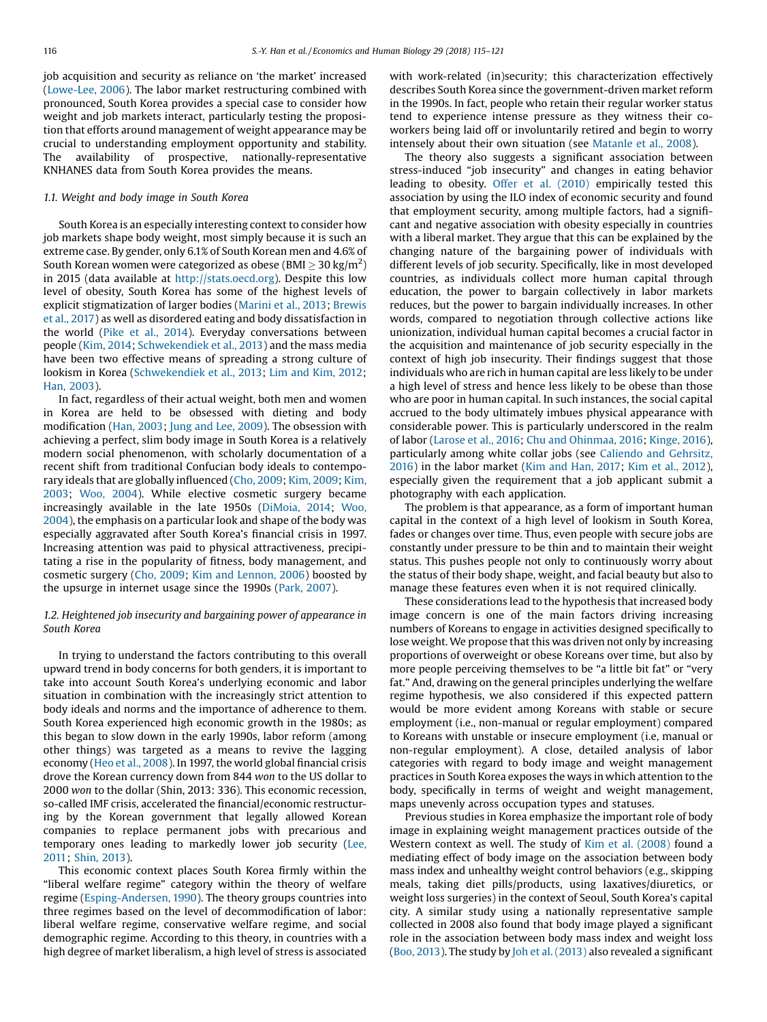job acquisition and security as reliance on 'the market' increased (Lowe-Lee, 2006). The labor market restructuring combined with pronounced, South Korea provides a special case to consider how weight and job markets interact, particularly testing the proposition that efforts around management of weight appearance may be crucial to understanding employment opportunity and stability. The availability of prospective, nationally-representative KNHANES data from South Korea provides the means.

## 1.1. Weight and body image in South Korea

South Korea is an especially interesting context to consider how job markets shape body weight, most simply because it is such an extreme case. By gender, only 6.1% of South Korean men and 4.6% of South Korean women were categorized as obese (BMI  $\geq$  30 kg/m<sup>2</sup>) in 2015 (data available at <http://stats.oecd.org>). Despite this low level of obesity, South Korea has some of the highest levels of explicit stigmatization of larger bodies (Marini et al., 2013; Brewis et al., 2017) as well as disordered eating and body dissatisfaction in the world (Pike et al., 2014). Everyday conversations between people (Kim, 2014; Schwekendiek et al., 2013) and the mass media have been two effective means of spreading a strong culture of lookism in Korea (Schwekendiek et al., 2013; Lim and Kim, 2012; Han, 2003).

In fact, regardless of their actual weight, both men and women in Korea are held to be obsessed with dieting and body modification (Han, 2003; Jung and Lee, 2009). The obsession with achieving a perfect, slim body image in South Korea is a relatively modern social phenomenon, with scholarly documentation of a recent shift from traditional Confucian body ideals to contemporary ideals that are globally influenced (Cho, 2009; Kim, 2009; Kim, 2003; Woo, 2004). While elective cosmetic surgery became increasingly available in the late 1950s (DiMoia, 2014; Woo, 2004), the emphasis on a particular look and shape of the body was especially aggravated after South Korea's financial crisis in 1997. Increasing attention was paid to physical attractiveness, precipitating a rise in the popularity of fitness, body management, and cosmetic surgery (Cho, 2009; Kim and Lennon, 2006) boosted by the upsurge in internet usage since the 1990s (Park, 2007).

## 1.2. Heightened job insecurity and bargaining power of appearance in South Korea

In trying to understand the factors contributing to this overall upward trend in body concerns for both genders, it is important to take into account South Korea's underlying economic and labor situation in combination with the increasingly strict attention to body ideals and norms and the importance of adherence to them. South Korea experienced high economic growth in the 1980s; as this began to slow down in the early 1990s, labor reform (among other things) was targeted as a means to revive the lagging economy (Heo et al., 2008). In 1997, the world global financial crisis drove the Korean currency down from 844 won to the US dollar to 2000 won to the dollar (Shin, 2013: 336). This economic recession, so-called IMF crisis, accelerated the financial/economic restructuring by the Korean government that legally allowed Korean companies to replace permanent jobs with precarious and temporary ones leading to markedly lower job security (Lee, 2011; Shin, 2013).

This economic context places South Korea firmly within the "liberal welfare regime" category within the theory of welfare regime (Esping-Andersen, 1990). The theory groups countries into three regimes based on the level of decommodification of labor: liberal welfare regime, conservative welfare regime, and social demographic regime. According to this theory, in countries with a high degree of market liberalism, a high level of stress is associated with work-related (in)security; this characterization effectively describes South Korea since the government-driven market reform in the 1990s. In fact, people who retain their regular worker status tend to experience intense pressure as they witness their coworkers being laid off or involuntarily retired and begin to worry intensely about their own situation (see Matanle et al., 2008).

The theory also suggests a significant association between stress-induced "job insecurity" and changes in eating behavior leading to obesity. Offer et al. (2010) empirically tested this association by using the ILO index of economic security and found that employment security, among multiple factors, had a significant and negative association with obesity especially in countries with a liberal market. They argue that this can be explained by the changing nature of the bargaining power of individuals with different levels of job security. Specifically, like in most developed countries, as individuals collect more human capital through education, the power to bargain collectively in labor markets reduces, but the power to bargain individually increases. In other words, compared to negotiation through collective actions like unionization, individual human capital becomes a crucial factor in the acquisition and maintenance of job security especially in the context of high job insecurity. Their findings suggest that those individuals who are rich in human capital are less likely to be under a high level of stress and hence less likely to be obese than those who are poor in human capital. In such instances, the social capital accrued to the body ultimately imbues physical appearance with considerable power. This is particularly underscored in the realm of labor (Larose et al., 2016; Chu and Ohinmaa, 2016; Kinge, 2016), particularly among white collar jobs (see Caliendo and Gehrsitz, 2016) in the labor market (Kim and Han, 2017; Kim et al., 2012), especially given the requirement that a job applicant submit a photography with each application.

The problem is that appearance, as a form of important human capital in the context of a high level of lookism in South Korea, fades or changes over time. Thus, even people with secure jobs are constantly under pressure to be thin and to maintain their weight status. This pushes people not only to continuously worry about the status of their body shape, weight, and facial beauty but also to manage these features even when it is not required clinically.

These considerations lead to the hypothesis that increased body image concern is one of the main factors driving increasing numbers of Koreans to engage in activities designed specifically to lose weight. We propose that this was driven not only by increasing proportions of overweight or obese Koreans over time, but also by more people perceiving themselves to be "a little bit fat" or "very fat." And, drawing on the general principles underlying the welfare regime hypothesis, we also considered if this expected pattern would be more evident among Koreans with stable or secure employment (i.e., non-manual or regular employment) compared to Koreans with unstable or insecure employment (i.e, manual or non-regular employment). A close, detailed analysis of labor categories with regard to body image and weight management practices in South Korea exposes the ways in which attention to the body, specifically in terms of weight and weight management, maps unevenly across occupation types and statuses.

Previous studies in Korea emphasize the important role of body image in explaining weight management practices outside of the Western context as well. The study of Kim et al. (2008) found a mediating effect of body image on the association between body mass index and unhealthy weight control behaviors (e.g., skipping meals, taking diet pills/products, using laxatives/diuretics, or weight loss surgeries) in the context of Seoul, South Korea's capital city. A similar study using a nationally representative sample collected in 2008 also found that body image played a significant role in the association between body mass index and weight loss (Boo, 2013). The study by Joh et al. (2013) also revealed a significant